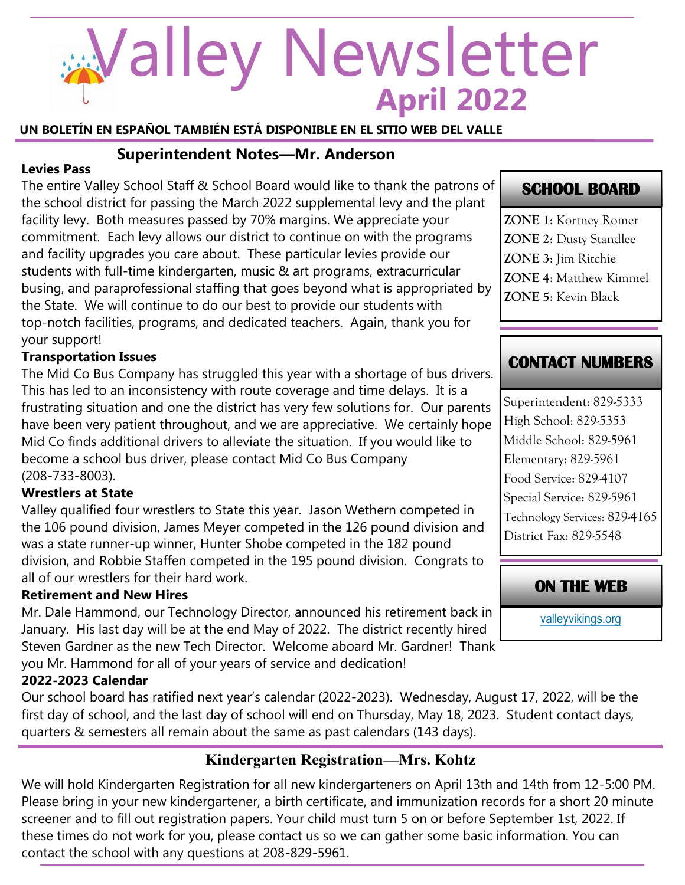# **April 2022** Valley Newsletter

**UN BOLETÍN EN ESPAÑOL TAMBIÉN ESTÁ DISPONIBLE EN EL SITIO WEB DEL VALLE**

## **Superintendent Notes—Mr. Anderson**

## **Levies Pass**

The entire Valley School Staff & School Board would like to thank the patrons of the school district for passing the March 2022 supplemental levy and the plant facility levy. Both measures passed by 70% margins. We appreciate your commitment. Each levy allows our district to continue on with the programs and facility upgrades you care about. These particular levies provide our students with full-time kindergarten, music & art programs, extracurricular busing, and paraprofessional staffing that goes beyond what is appropriated by the State. We will continue to do our best to provide our students with top-notch facilities, programs, and dedicated teachers. Again, thank you for your support!

## **Transportation Issues**

The Mid Co Bus Company has struggled this year with a shortage of bus drivers. This has led to an inconsistency with route coverage and time delays. It is a frustrating situation and one the district has very few solutions for. Our parents have been very patient throughout, and we are appreciative. We certainly hope Mid Co finds additional drivers to alleviate the situation. If you would like to become a school bus driver, please contact Mid Co Bus Company (208-733-8003).

## **Wrestlers at State**

Valley qualified four wrestlers to State this year. Jason Wethern competed in the 106 pound division, James Meyer competed in the 126 pound division and was a state runner-up winner, Hunter Shobe competed in the 182 pound division, and Robbie Staffen competed in the 195 pound division. Congrats to all of our wrestlers for their hard work.

## **Retirement and New Hires**

Mr. Dale Hammond, our Technology Director, announced his retirement back in January. His last day will be at the end May of 2022. The district recently hired Steven Gardner as the new Tech Director. Welcome aboard Mr. Gardner! Thank you Mr. Hammond for all of your years of service and dedication!

## **2022-2023 Calendar**

Our school board has ratified next year's calendar (2022-2023). Wednesday, August 17, 2022, will be the first day of school, and the last day of school will end on Thursday, May 18, 2023. Student contact days, quarters & semesters all remain about the same as past calendars (143 days).

# **Kindergarten Registration—Mrs. Kohtz**

We will hold Kindergarten Registration for all new kindergarteners on April 13th and 14th from 12-5:00 PM. Please bring in your new kindergartener, a birth certificate, and immunization records for a short 20 minute screener and to fill out registration papers. Your child must turn 5 on or before September 1st, 2022. If these times do not work for you, please contact us so we can gather some basic information. You can contact the school with any questions at 208-829-5961.

# **SCHOOL BOARD**

**ZONE 1**: Kortney Romer **ZONE 2**: Dusty Standlee **ZONE 3**: Jim Ritchie **ZONE 4**: Matthew Kimmel **ZONE 5**: Kevin Black

# **CONTACT NUMBERS**

Superintendent: 829-5333 High School: 829-5353 Middle School: 829-5961 Elementary: 829-5961 Food Service: 829-4107 Special Service: 829-5961 Technology Services: 829-4165 District Fax: 829-5548

# **ON THE WEB**

[valleyvikings.org](http://www.valleyvikings.org/)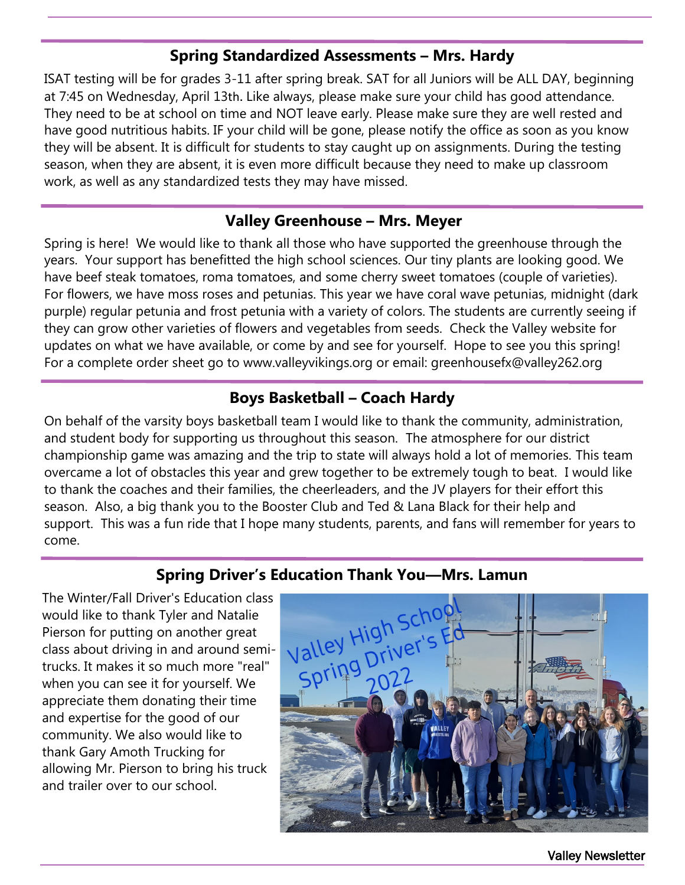## **Spring Standardized Assessments – Mrs. Hardy**

ISAT testing will be for grades 3-11 after spring break. SAT for all Juniors will be ALL DAY, beginning at 7:45 on Wednesday, April 13th. Like always, please make sure your child has good attendance. They need to be at school on time and NOT leave early. Please make sure they are well rested and have good nutritious habits. IF your child will be gone, please notify the office as soon as you know they will be absent. It is difficult for students to stay caught up on assignments. During the testing season, when they are absent, it is even more difficult because they need to make up classroom work, as well as any standardized tests they may have missed.

## **Valley Greenhouse – Mrs. Meyer**

Spring is here! We would like to thank all those who have supported the greenhouse through the years. Your support has benefitted the high school sciences. Our tiny plants are looking good. We have beef steak tomatoes, roma tomatoes, and some cherry sweet tomatoes (couple of varieties). For flowers, we have moss roses and petunias. This year we have coral wave petunias, midnight (dark purple) regular petunia and frost petunia with a variety of colors. The students are currently seeing if they can grow other varieties of flowers and vegetables from seeds. Check the Valley website for updates on what we have available, or come by and see for yourself. Hope to see you this spring! For a complete order sheet go to www.valleyvikings.org or email: greenhousefx@valley262.org

## **Boys Basketball – Coach Hardy**

On behalf of the varsity boys basketball team I would like to thank the community, administration, and student body for supporting us throughout this season. The atmosphere for our district championship game was amazing and the trip to state will always hold a lot of memories. This team overcame a lot of obstacles this year and grew together to be extremely tough to beat. I would like to thank the coaches and their families, the cheerleaders, and the JV players for their effort this season. Also, a big thank you to the Booster Club and Ted & Lana Black for their help and support. This was a fun ride that I hope many students, parents, and fans will remember for years to come.

## **Spring Driver's Education Thank You—Mrs. Lamun**

The Winter/Fall Driver's Education class would like to thank Tyler and Natalie Pierson for putting on another great class about driving in and around semitrucks. It makes it so much more "real" when you can see it for yourself. We appreciate them donating their time and expertise for the good of our community. We also would like to thank Gary Amoth Trucking for allowing Mr. Pierson to bring his truck and trailer over to our school.



Valley Newsletter